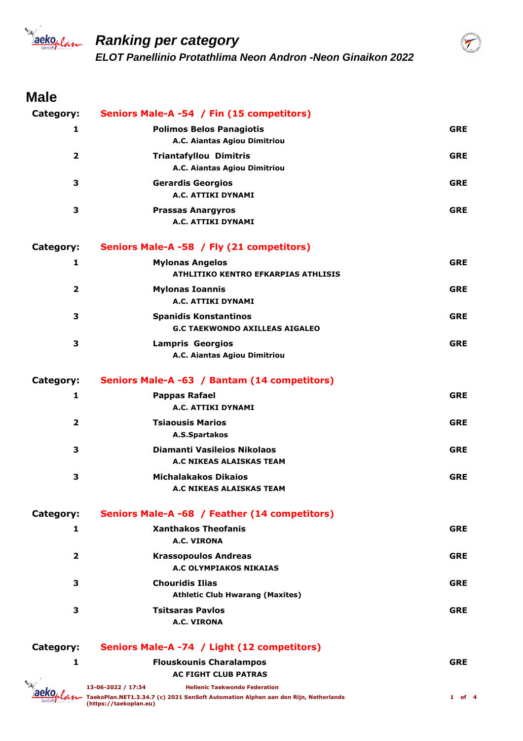

#### **Male**

| Category:               | Seniors Male-A -54 / Fin (15 competitors)                             |            |
|-------------------------|-----------------------------------------------------------------------|------------|
| 1                       | <b>Polimos Belos Panagiotis</b><br>A.C. Aiantas Agiou Dimitriou       | <b>GRE</b> |
| $\overline{2}$          | <b>Triantafyllou Dimitris</b><br>A.C. Aiantas Agiou Dimitriou         | <b>GRE</b> |
| 3                       | <b>Gerardis Georgios</b><br>A.C. ATTIKI DYNAMI                        | <b>GRE</b> |
| 3                       | <b>Prassas Anargyros</b><br>A.C. ATTIKI DYNAMI                        | <b>GRE</b> |
| Category:               | Seniors Male-A -58 / Fly (21 competitors)                             |            |
| 1                       | <b>Mylonas Angelos</b><br><b>ATHLITIKO KENTRO EFKARPIAS ATHLISIS</b>  | <b>GRE</b> |
| $\overline{2}$          | <b>Mylonas Ioannis</b><br>A.C. ATTIKI DYNAMI                          | <b>GRE</b> |
| 3                       | <b>Spanidis Konstantinos</b><br><b>G.C TAEKWONDO AXILLEAS AIGALEO</b> | <b>GRE</b> |
| 3                       | <b>Lampris Georgios</b><br>A.C. Aiantas Agiou Dimitriou               | <b>GRE</b> |
| Category:               | Seniors Male-A -63 / Bantam (14 competitors)                          |            |
| 1                       | <b>Pappas Rafael</b><br>A.C. ATTIKI DYNAMI                            | <b>GRE</b> |
| $\overline{\mathbf{2}}$ | <b>Tsiaousis Marios</b><br>A.S.Spartakos                              | <b>GRE</b> |
| 3                       | Diamanti Vasileios Nikolaos<br><b>A.C NIKEAS ALAISKAS TEAM</b>        | <b>GRE</b> |
| 3                       | <b>Michalakakos Dikaios</b><br>A.C NIKEAS ALAISKAS TEAM               | <b>GRE</b> |
| Category:               | Seniors Male-A -68 / Feather (14 competitors)                         |            |
| 1                       | <b>Xanthakos Theofanis</b><br>A.C. VIRONA                             | <b>GRE</b> |
| 2                       | <b>Krassopoulos Andreas</b><br>A.C OLYMPIAKOS NIKAIAS                 | <b>GRE</b> |
| з                       | <b>Chouridis Ilias</b><br><b>Athletic Club Hwarang (Maxites)</b>      | <b>GRE</b> |
| З                       | <b>Tsitsaras Pavlos</b><br>A.C. VIRONA                                | <b>GRE</b> |
| Category:               | Seniors Male-A -74 / Light (12 competitors)                           |            |
| 1                       | <b>Flouskounis Charalampos</b><br><b>AC FIGHT CLUB PATRAS</b>         | <b>GRE</b> |
|                         |                                                                       |            |



 $\widetilde{\mathcal{T}}$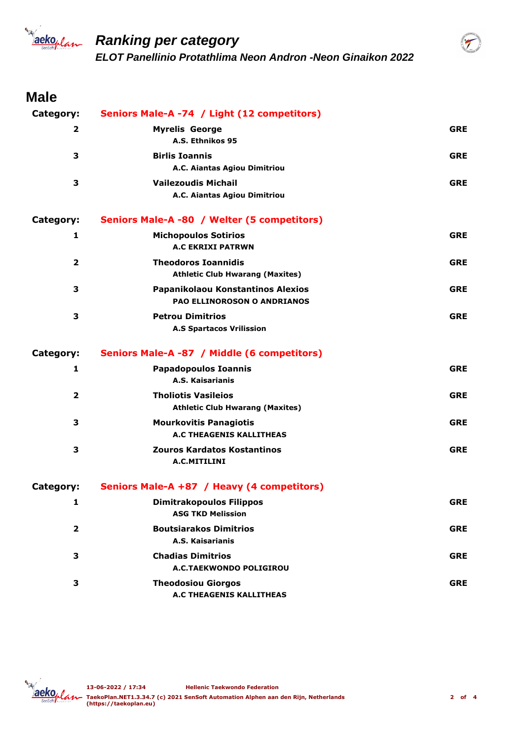

#### **Male**

| Category:               | Seniors Male-A -74 / Light (12 competitors)                             |            |
|-------------------------|-------------------------------------------------------------------------|------------|
| 2                       | <b>Myrelis George</b><br>A.S. Ethnikos 95                               | <b>GRE</b> |
| 3                       | <b>Birlis Ioannis</b><br>A.C. Aiantas Agiou Dimitriou                   | <b>GRE</b> |
| 3                       | <b>Vailezoudis Michail</b><br>A.C. Aiantas Agiou Dimitriou              | <b>GRE</b> |
| Category:               | Seniors Male-A -80 / Welter (5 competitors)                             |            |
| 1                       | <b>Michopoulos Sotirios</b><br><b>A.C EKRIXI PATRWN</b>                 | <b>GRE</b> |
| $\mathbf{2}$            | <b>Theodoros Ioannidis</b><br><b>Athletic Club Hwarang (Maxites)</b>    | <b>GRE</b> |
| 3                       | Papanikolaou Konstantinos Alexios<br><b>PAO ELLINOROSON O ANDRIANOS</b> | <b>GRE</b> |
| 3                       | <b>Petrou Dimitrios</b><br><b>A.S Spartacos Vrilission</b>              | <b>GRE</b> |
| Category:               | Seniors Male-A -87 / Middle (6 competitors)                             |            |
| 1                       | <b>Papadopoulos Ioannis</b><br>A.S. Kaisarianis                         | <b>GRE</b> |
| $\overline{2}$          | <b>Tholiotis Vasileios</b><br><b>Athletic Club Hwarang (Maxites)</b>    | <b>GRE</b> |
| 3                       | <b>Mourkovitis Panagiotis</b><br>A.C THEAGENIS KALLITHEAS               | <b>GRE</b> |
| 3                       | <b>Zouros Kardatos Kostantinos</b><br>A.C.MITILINI                      | <b>GRE</b> |
| Category:               | Seniors Male-A +87 / Heavy (4 competitors)                              |            |
| 1                       | <b>Dimitrakopoulos Filippos</b><br><b>ASG TKD Melission</b>             | <b>GRE</b> |
| $\overline{\mathbf{2}}$ | <b>Boutsiarakos Dimitrios</b><br><b>A.S. Kaisarianis</b>                | <b>GRE</b> |
| 3                       | <b>Chadias Dimitrios</b><br>A.C.TAEKWONDO POLIGIROU                     | <b>GRE</b> |
| 3                       | <b>Theodosiou Giorgos</b><br><b>A.C THEAGENIS KALLITHEAS</b>            | <b>GRE</b> |



 $\widetilde{\mathcal{T}}$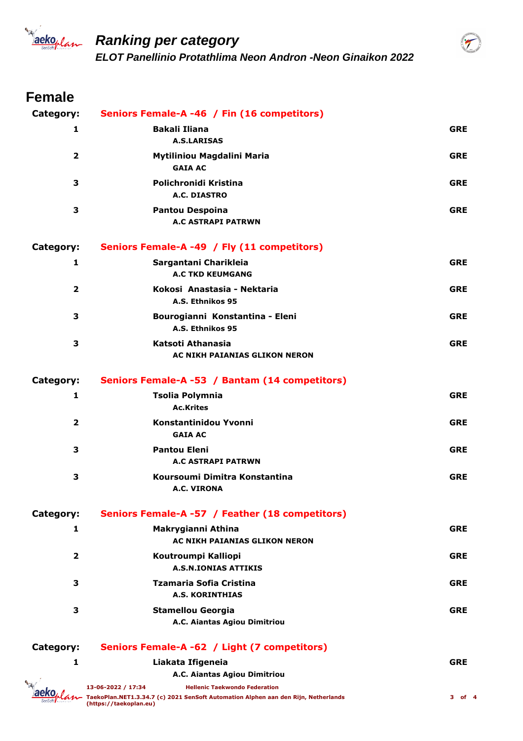

 $\mathcal T$ 

# **Female**

| Category:               | Seniors Female-A -46 / Fin (16 competitors)                                                                                                                                |            |
|-------------------------|----------------------------------------------------------------------------------------------------------------------------------------------------------------------------|------------|
| 1                       | <b>Bakali Iliana</b><br><b>A.S.LARISAS</b>                                                                                                                                 | <b>GRE</b> |
| $\overline{2}$          | Mytiliniou Magdalini Maria<br><b>GAIA AC</b>                                                                                                                               | <b>GRE</b> |
| З                       | Polichronidi Kristina<br>A.C. DIASTRO                                                                                                                                      | <b>GRE</b> |
| 3                       | <b>Pantou Despoina</b><br><b>A.C ASTRAPI PATRWN</b>                                                                                                                        | <b>GRE</b> |
| Category:               | Seniors Female-A -49 / Fly (11 competitors)                                                                                                                                |            |
| 1                       | Sargantani Charikleia<br><b>A.C TKD KEUMGANG</b>                                                                                                                           | <b>GRE</b> |
| $\overline{\mathbf{2}}$ | Kokosi Anastasia - Nektaria<br>A.S. Ethnikos 95                                                                                                                            | <b>GRE</b> |
| 3                       | Bourogianni Konstantina - Eleni<br>A.S. Ethnikos 95                                                                                                                        | <b>GRE</b> |
| 3                       | Katsoti Athanasia<br>AC NIKH PAIANIAS GLIKON NERON                                                                                                                         | <b>GRE</b> |
| Category:               | Seniors Female-A -53 / Bantam (14 competitors)                                                                                                                             |            |
| 1                       | <b>Tsolia Polymnia</b><br><b>Ac.Krites</b>                                                                                                                                 | <b>GRE</b> |
| $\overline{2}$          | Konstantinidou Yvonni<br><b>GAIA AC</b>                                                                                                                                    | <b>GRE</b> |
| 3                       | <b>Pantou Eleni</b><br><b>A.C ASTRAPI PATRWN</b>                                                                                                                           | <b>GRE</b> |
| 3                       | Koursoumi Dimitra Konstantina<br><b>A.C. VIRONA</b>                                                                                                                        | <b>GRE</b> |
| Category:               | Seniors Female-A -57 / Feather (18 competitors)                                                                                                                            |            |
| 1                       | Makrygianni Athina<br>AC NIKH PAIANIAS GLIKON NERON                                                                                                                        | <b>GRE</b> |
| $\overline{\mathbf{2}}$ | Koutroumpi Kalliopi<br><b>A.S.N.IONIAS ATTIKIS</b>                                                                                                                         | <b>GRE</b> |
| 3                       | Tzamaria Sofia Cristina<br><b>A.S. KORINTHIAS</b>                                                                                                                          | <b>GRE</b> |
| 3                       | <b>Stamellou Georgia</b><br>A.C. Aiantas Agiou Dimitriou                                                                                                                   | <b>GRE</b> |
| Category:               | Seniors Female-A -62 / Light (7 competitors)                                                                                                                               |            |
| 1                       | Liakata Ifigeneia                                                                                                                                                          | <b>GRE</b> |
|                         | A.C. Aiantas Agiou Dimitriou                                                                                                                                               |            |
|                         | 13-06-2022 / 17:34<br><b>Hellenic Taekwondo Federation</b><br>TaekoPlan.NET1.3.34.7 (c) 2021 SenSoft Automation Alphen aan den Rijn, Netherlands<br>(https://taekoplan.eu) | 3 of 4     |